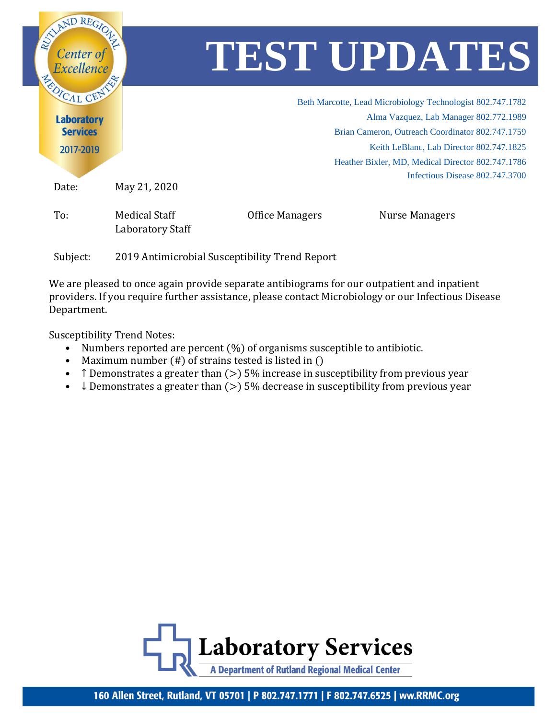

Subject: 2019 Antimicrobial Susceptibility Trend Report

We are pleased to once again provide separate antibiograms for our outpatient and inpatient providers. If you require further assistance, please contact Microbiology or our Infectious Disease Department.

Susceptibility Trend Notes:

- Numbers reported are percent  $(\%)$  of organisms susceptible to antibiotic.
- Maximum number (#) of strains tested is listed in ()
- T Demonstrates a greater than  $(>)$  5% increase in susceptibility from previous year
- $\downarrow$  Demonstrates a greater than ( $>$ ) 5% decrease in susceptibility from previous year